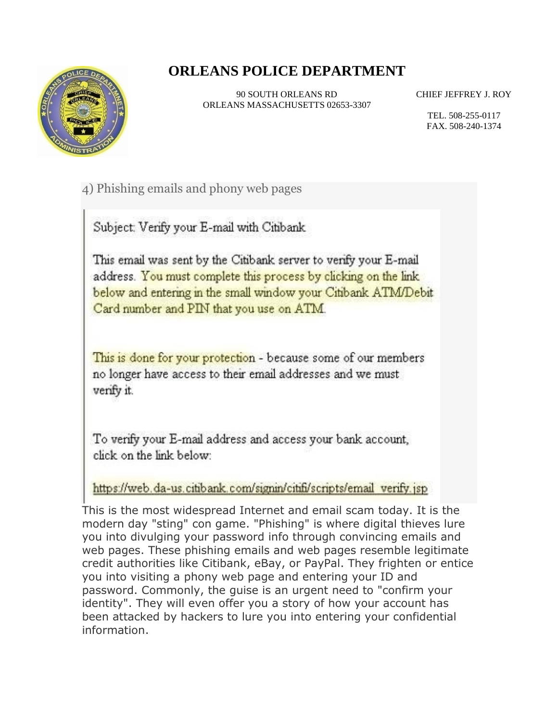## **ORLEANS POLICE DEPARTMENT**



90 SOUTH ORLEANS RD ORLEANS MASSACHUSETTS 02653-3307 CHIEF JEFFREY J. ROY

TEL. 508-255-0117 FAX. 508-240-1374

4) Phishing emails and phony web pages

Subject: Verify your E-mail with Citibank

This email was sent by the Citibank server to verify your E-mail address. You must complete this process by clicking on the link below and entering in the small window your Citibank ATM/Debit Card number and PIN that you use on ATM.

This is done for your protection - because some of our members no longer have access to their email addresses and we must verify it.

To verify your E-mail address and access your bank account, click on the link below:

https://web.da-us.citibank.com/signin/citifi/scripts/email\_verify.jsp

This is the most widespread Internet and email scam today. It is the modern day "sting" con game. "Phishing" is where digital thieves lure you into divulging your password info through convincing emails and web pages. These phishing emails and web pages resemble legitimate credit authorities like Citibank, eBay, or PayPal. They frighten or entice you into visiting a phony web page and entering your ID and password. Commonly, the guise is an urgent need to "confirm your identity". They will even offer you a story of how your account has been attacked by hackers to lure you into entering your confidential information.